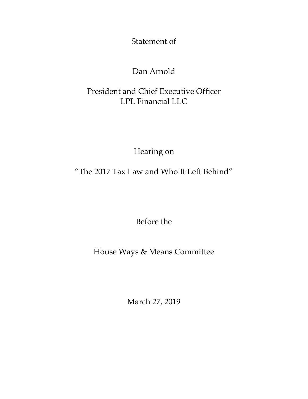Statement of

## Dan Arnold

## President and Chief Executive Officer LPL Financial LLC

Hearing on

"The 2017 Tax Law and Who It Left Behind"

Before the

House Ways & Means Committee

March 27, 2019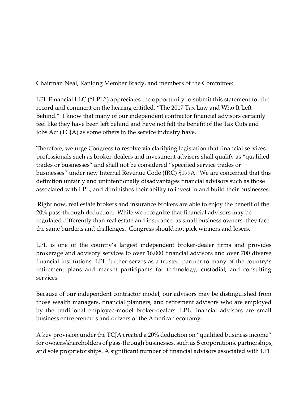Chairman Neal, Ranking Member Brady, and members of the Committee:

LPL Financial LLC ("LPL") appreciates the opportunity to submit this statement for the record and comment on the hearing entitled, "The 2017 Tax Law and Who It Left Behind." I know that many of our independent contractor financial advisors certainly feel like they have been left behind and have not felt the benefit of the Tax Cuts and Jobs Act (TCJA) as some others in the service industry have.

Therefore, we urge Congress to resolve via clarifying legislation that financial services professionals such as broker-dealers and investment advisers shall qualify as "qualified trades or businesses" and shall not be considered "specified service trades or businesses" under new Internal Revenue Code (IRC) §199A. We are concerned that this definition unfairly and unintentionally disadvantages financial advisors such as those associated with LPL, and diminishes their ability to invest in and build their businesses.

Right now, real estate brokers and insurance brokers are able to enjoy the benefit of the 20% pass-through deduction. While we recognize that financial advisors may be regulated differently than real estate and insurance, as small business owners, they face the same burdens and challenges. Congress should not pick winners and losers.

LPL is one of the country's largest independent broker-dealer firms and provides brokerage and advisory services to over 16,000 financial advisors and over 700 diverse financial institutions. LPL further serves as a trusted partner to many of the country's retirement plans and market participants for technology, custodial, and consulting services.

Because of our independent contractor model, our advisors may be distinguished from those wealth managers, financial planners, and retirement advisors who are employed by the traditional employee-model broker-dealers. LPL financial advisors are small business entrepreneurs and drivers of the American economy.

A key provision under the TCJA created a 20% deduction on "qualified business income" for owners/shareholders of pass-through businesses, such as S corporations, partnerships, and sole proprietorships. A significant number of financial advisors associated with LPL